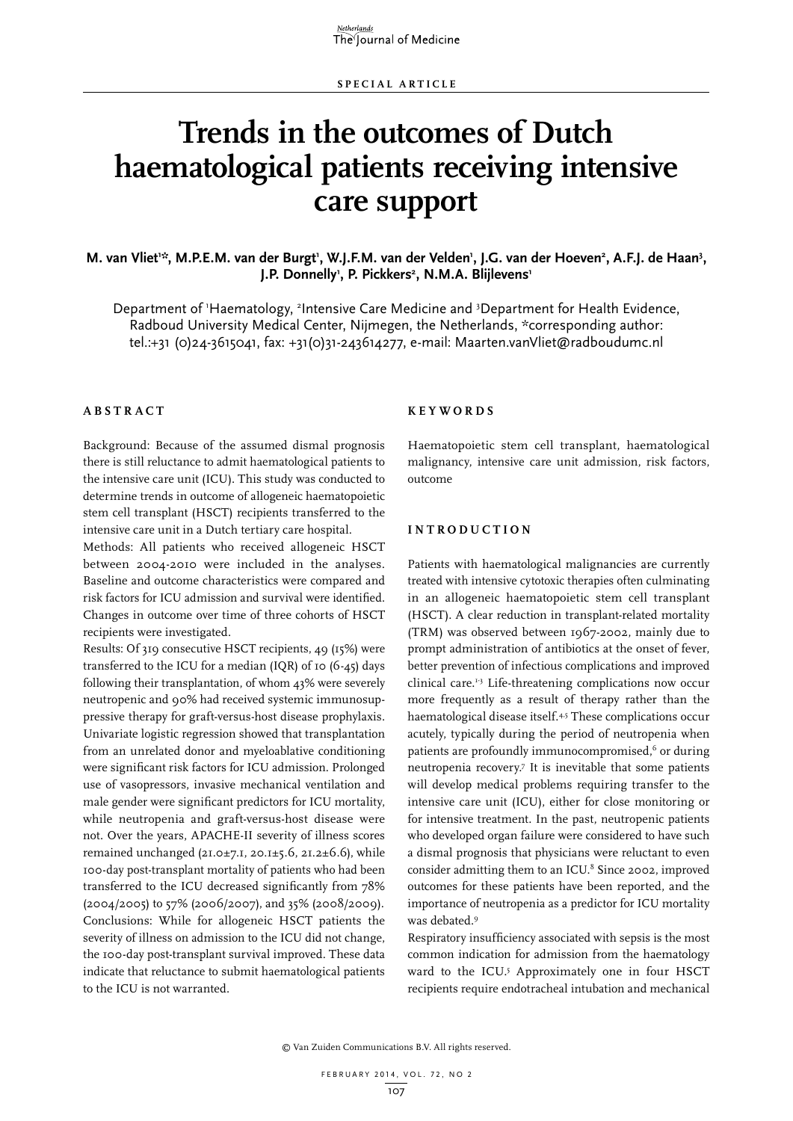# **Trends in the outcomes of Dutch haematological patients receiving intensive care support**

M. van Vliet<sup>1:\*</sup>, M.P.E.M. van der Burgt<sup>1</sup>, W.J.F.M. van der Velden<sup>1</sup>, J.G. van der Hoeven<sup>2</sup>, A.F.J. de Haan<sup>3</sup>, **J.P. Donnelly1 , P. Pickkers2 , N.M.A. Blijlevens1**

Department of 'Haematology, <sup>2</sup>Intensive Care Medicine and <sup>3</sup>Department for Health Evidence, Radboud University Medical Center, Nijmegen, the Netherlands, \*corresponding author: tel.:+31 (0)24-3615041, fax: +31(0)31-243614277, e-mail: Maarten.vanVliet@radboudumc.nl

## **A B STRA C T**

Background: Because of the assumed dismal prognosis there is still reluctance to admit haematological patients to the intensive care unit (ICU). This study was conducted to determine trends in outcome of allogeneic haematopoietic stem cell transplant (HSCT) recipients transferred to the intensive care unit in a Dutch tertiary care hospital.

Methods: All patients who received allogeneic HSCT between 2004-2010 were included in the analyses. Baseline and outcome characteristics were compared and risk factors for ICU admission and survival were identified. Changes in outcome over time of three cohorts of HSCT recipients were investigated.

Results: Of 319 consecutive HSCT recipients, 49 (15%) were transferred to the ICU for a median (IQR) of 10 (6-45) days following their transplantation, of whom 43% were severely neutropenic and 90% had received systemic immunosuppressive therapy for graft-versus-host disease prophylaxis. Univariate logistic regression showed that transplantation from an unrelated donor and myeloablative conditioning were significant risk factors for ICU admission. Prolonged use of vasopressors, invasive mechanical ventilation and male gender were significant predictors for ICU mortality, while neutropenia and graft-versus-host disease were not. Over the years, APACHE-II severity of illness scores remained unchanged (21.0±7.1, 20.1±5.6, 21.2±6.6), while 100-day post-transplant mortality of patients who had been transferred to the ICU decreased significantly from 78% (2004/2005) to 57% (2006/2007), and 35% (2008/2009). Conclusions: While for allogeneic HSCT patients the severity of illness on admission to the ICU did not change, the 100-day post-transplant survival improved. These data indicate that reluctance to submit haematological patients to the ICU is not warranted.

#### **K E Y W ORDS**

Haematopoietic stem cell transplant, haematological malignancy, intensive care unit admission, risk factors, outcome

## **INTROD U C TION**

Patients with haematological malignancies are currently treated with intensive cytotoxic therapies often culminating in an allogeneic haematopoietic stem cell transplant (HSCT). A clear reduction in transplant-related mortality (TRM) was observed between 1967-2002, mainly due to prompt administration of antibiotics at the onset of fever, better prevention of infectious complications and improved clinical care.1-3 Life-threatening complications now occur more frequently as a result of therapy rather than the haematological disease itself.<sup>4,5</sup> These complications occur acutely, typically during the period of neutropenia when patients are profoundly immunocompromised,<sup>6</sup> or during neutropenia recovery.7 It is inevitable that some patients will develop medical problems requiring transfer to the intensive care unit (ICU), either for close monitoring or for intensive treatment. In the past, neutropenic patients who developed organ failure were considered to have such a dismal prognosis that physicians were reluctant to even consider admitting them to an ICU.<sup>8</sup> Since 2002, improved outcomes for these patients have been reported, and the importance of neutropenia as a predictor for ICU mortality was debated.9

Respiratory insufficiency associated with sepsis is the most common indication for admission from the haematology ward to the ICU.<sup>5</sup> Approximately one in four HSCT recipients require endotracheal intubation and mechanical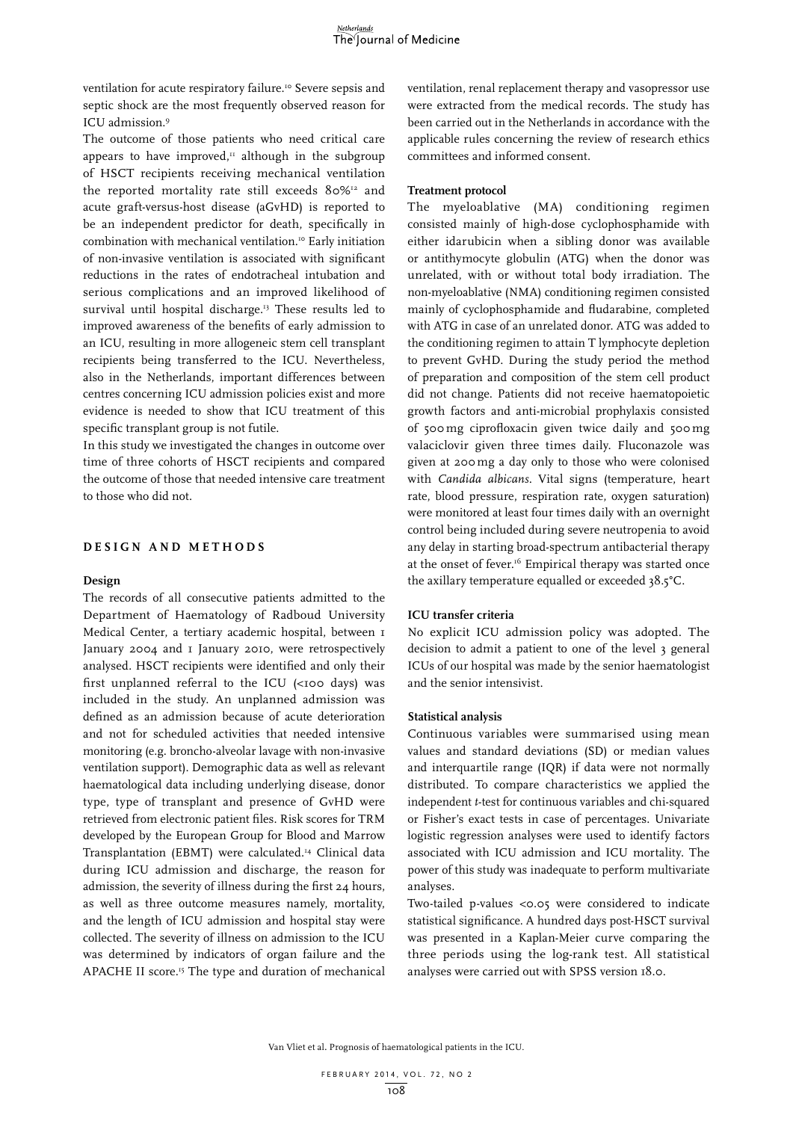ventilation for acute respiratory failure.<sup>10</sup> Severe sepsis and septic shock are the most frequently observed reason for ICU admission.9

The outcome of those patients who need critical care appears to have improved, $\mu$  although in the subgroup of HSCT recipients receiving mechanical ventilation the reported mortality rate still exceeds 80%<sup>12</sup> and acute graft-versus-host disease (aGvHD) is reported to be an independent predictor for death, specifically in combination with mechanical ventilation.10 Early initiation of non-invasive ventilation is associated with significant reductions in the rates of endotracheal intubation and serious complications and an improved likelihood of survival until hospital discharge.<sup>13</sup> These results led to improved awareness of the benefits of early admission to an ICU, resulting in more allogeneic stem cell transplant recipients being transferred to the ICU. Nevertheless, also in the Netherlands, important differences between centres concerning ICU admission policies exist and more evidence is needed to show that ICU treatment of this specific transplant group is not futile.

In this study we investigated the changes in outcome over time of three cohorts of HSCT recipients and compared the outcome of those that needed intensive care treatment to those who did not.

# **DESI G N AND M ET H ODS**

#### **Design**

The records of all consecutive patients admitted to the Department of Haematology of Radboud University Medical Center, a tertiary academic hospital, between 1 January 2004 and I January 2010, were retrospectively analysed*.* HSCT recipients were identified and only their first unplanned referral to the ICU (<100 days) was included in the study. An unplanned admission was defined as an admission because of acute deterioration and not for scheduled activities that needed intensive monitoring (e.g. broncho-alveolar lavage with non-invasive ventilation support). Demographic data as well as relevant haematological data including underlying disease, donor type, type of transplant and presence of GvHD were retrieved from electronic patient files. Risk scores for TRM developed by the European Group for Blood and Marrow Transplantation (EBMT) were calculated.14 Clinical data during ICU admission and discharge, the reason for admission, the severity of illness during the first 24 hours, as well as three outcome measures namely, mortality, and the length of ICU admission and hospital stay were collected. The severity of illness on admission to the ICU was determined by indicators of organ failure and the APACHE II score.15 The type and duration of mechanical

ventilation, renal replacement therapy and vasopressor use were extracted from the medical records. The study has been carried out in the Netherlands in accordance with the applicable rules concerning the review of research ethics committees and informed consent.

### **Treatment protocol**

The myeloablative (MA) conditioning regimen consisted mainly of high-dose cyclophosphamide with either idarubicin when a sibling donor was available or antithymocyte globulin (ATG) when the donor was unrelated, with or without total body irradiation. The non-myeloablative (NMA) conditioning regimen consisted mainly of cyclophosphamide and fludarabine, completed with ATG in case of an unrelated donor. ATG was added to the conditioning regimen to attain T lymphocyte depletion to prevent GvHD. During the study period the method of preparation and composition of the stem cell product did not change. Patients did not receive haematopoietic growth factors and anti-microbial prophylaxis consisted of 500mg ciprofloxacin given twice daily and 500mg valaciclovir given three times daily. Fluconazole was given at 200mg a day only to those who were colonised with *Candida albicans*. Vital signs (temperature, heart rate, blood pressure, respiration rate, oxygen saturation) were monitored at least four times daily with an overnight control being included during severe neutropenia to avoid any delay in starting broad-spectrum antibacterial therapy at the onset of fever.<sup>16</sup> Empirical therapy was started once the axillary temperature equalled or exceeded 38.5°C.

#### **ICU transfer criteria**

No explicit ICU admission policy was adopted. The decision to admit a patient to one of the level 3 general ICUs of our hospital was made by the senior haematologist and the senior intensivist.

#### **Statistical analysis**

Continuous variables were summarised using mean values and standard deviations (SD) or median values and interquartile range (IQR) if data were not normally distributed. To compare characteristics we applied the independent *t*-test for continuous variables and chi-squared or Fisher's exact tests in case of percentages. Univariate logistic regression analyses were used to identify factors associated with ICU admission and ICU mortality. The power of this study was inadequate to perform multivariate analyses.

Two-tailed p-values <0.05 were considered to indicate statistical significance. A hundred days post-HSCT survival was presented in a Kaplan-Meier curve comparing the three periods using the log-rank test. All statistical analyses were carried out with SPSS version 18.0.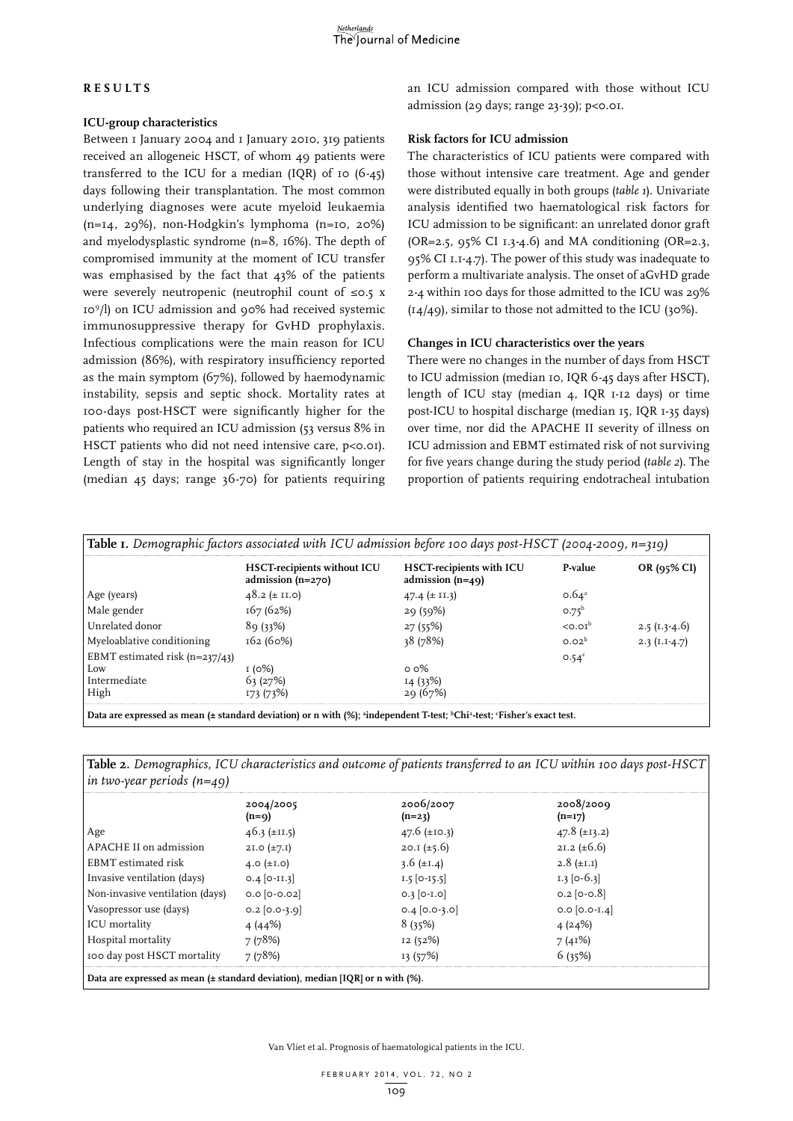# **RES U LTS**

## **ICU-group characteristics**

Between I January 2004 and I January 2010, 319 patients received an allogeneic HSCT, of whom 49 patients were transferred to the ICU for a median (IQR) of 10  $(6-45)$ days following their transplantation. The most common underlying diagnoses were acute myeloid leukaemia (n=14, 29%), non-Hodgkin's lymphoma (n=10, 20%) and myelodysplastic syndrome (n=8, 16%). The depth of compromised immunity at the moment of ICU transfer was emphasised by the fact that 43% of the patients were severely neutropenic (neutrophil count of ≤0.5 x 109/l) on ICU admission and 90% had received systemic immunosuppressive therapy for GvHD prophylaxis. Infectious complications were the main reason for ICU admission (86%), with respiratory insufficiency reported as the main symptom (67%), followed by haemodynamic instability, sepsis and septic shock. Mortality rates at 100-days post-HSCT were significantly higher for the patients who required an ICU admission (53 versus 8% in HSCT patients who did not need intensive care, p<0.01). Length of stay in the hospital was significantly longer (median 45 days; range 36-70) for patients requiring

an ICU admission compared with those without ICU admission (29 days; range 23-39); p<0.01.

# **Risk factors for ICU admission**

The characteristics of ICU patients were compared with those without intensive care treatment. Age and gender were distributed equally in both groups (*table 1*). Univariate analysis identified two haematological risk factors for ICU admission to be significant: an unrelated donor graft (OR=2.5,  $95\%$  CI 1.3-4.6) and MA conditioning (OR=2.3, 95% CI 1.1-4.7). The power of this study was inadequate to perform a multivariate analysis. The onset of aGvHD grade 2-4 within 100 days for those admitted to the ICU was 29%  $(14/49)$ , similar to those not admitted to the ICU (30%).

## **Changes in ICU characteristics over the years**

There were no changes in the number of days from HSCT to ICU admission (median 10, IQR 6-45 days after HSCT), length of ICU stay (median 4, IQR 1-12 days) or time post-ICU to hospital discharge (median 15, IQR 1-35 days) over time, nor did the APACHE II severity of illness on ICU admission and EBMT estimated risk of not surviving for five years change during the study period (*table 2*). The proportion of patients requiring endotracheal intubation

|                                  | <b>HSCT-recipients without ICU</b><br>admission $(n=270)$ | <b>HSCT-recipients with ICU</b><br>admission $(n=49)$ | P-value           | OR $(95\%$ CI   |
|----------------------------------|-----------------------------------------------------------|-------------------------------------------------------|-------------------|-----------------|
| Age (years)                      | 48.2 ( $\pm$ II.0)                                        | 47.4 $(\pm$ II.3)                                     | $0.64^a$          |                 |
| Male gender                      | 167(62%)                                                  | 29(59%)                                               | $0.75^b$          |                 |
| Unrelated donor                  | 89(33%)                                                   | 27(55%)                                               | $<$ $0.01b$       | $2.5(1.3-4.6)$  |
| Myeloablative conditioning       | 162 (60%)                                                 | 38 (78%)                                              | 0.02 <sup>b</sup> | 2.3 $(I.I-4.7)$ |
| EBMT estimated risk $(n=237/43)$ |                                                           |                                                       | 0.54 <sup>c</sup> |                 |
| L <sub>ow</sub>                  | 1(0%)                                                     | $0.0\%$                                               |                   |                 |
| Intermediate                     | 63(27%)                                                   | 14(33%)                                               |                   |                 |
| High                             |                                                           | 20157%                                                |                   |                 |

|                              | Table 2. Demographics, ICU characteristics and outcome of patients transferred to an ICU within 100 days post-HSCT |  |  |
|------------------------------|--------------------------------------------------------------------------------------------------------------------|--|--|
| in two-year periods $(n=49)$ |                                                                                                                    |  |  |

|                                 | 2004/2005<br>(n=a) | 2006/2007<br>(n=23) | 2008/2009<br>$(n=17)$ |  |
|---------------------------------|--------------------|---------------------|-----------------------|--|
| Age                             | $46.3 \pm 11.5$    | 47.6 $(\pm 10.3)$   | 47.8 $(\pm 13.2)$     |  |
| APACHE II on admission          | 21.0 $(\pm 7.1)$   | 20.I $(\pm 5.6)$    | 21.2 $(\pm 6.6)$      |  |
| EBMT estimated risk             | 4.0 $(\pm 1.0)$    | 3.6 $(\pm 1.4)$     | $2.8 \ (\pm 1.1)$     |  |
| Invasive ventilation (days)     | $0.4$ [0-II.3]     | $1.5$ [0-15.5]      | $1.3$ [0-6.3]         |  |
| Non-invasive ventilation (days) | $0.0$ [0-0.02]     | $0.3$ [0-1.0]       | $0.2$ [0-0.8]         |  |
| Vasopressor use (days)          | $0.2$ [0.0-3.9]    | $0.4$ [0.0-3.0]     | $0.0$ [0.0-I.4]       |  |
| ICU mortality                   | 4 (44%)            | 8(35%)              | 4(24%)                |  |
| Hospital mortality              | 7(78%)             | 12(52%)             | 7(41%)                |  |
| 100 day post HSCT mortality     | 7 (78%)            | 13 (57%)            | 6(35%)                |  |

Van Vliet et al**.** Prognosis of haematological patients in the ICU.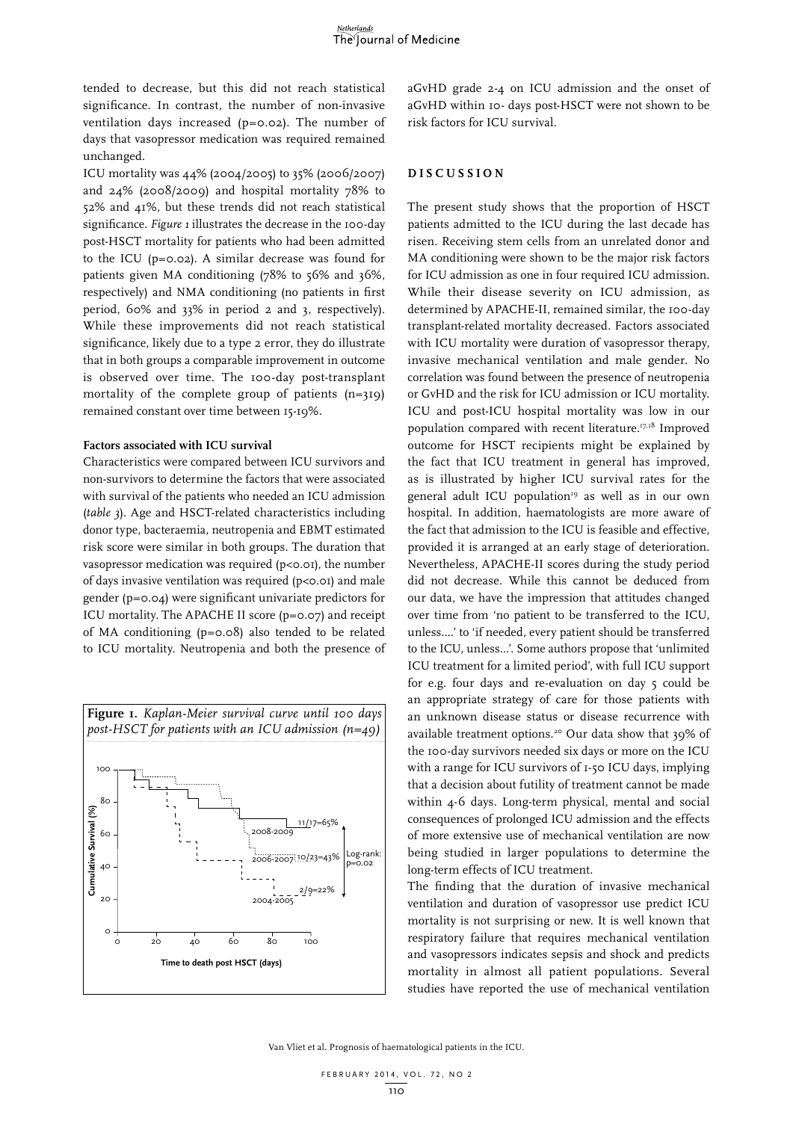tended to decrease, but this did not reach statistical significance. In contrast, the number of non-invasive ventilation days increased (p=0.02). The number of days that vasopressor medication was required remained unchanged.

ICU mortality was 44% (2004/2005) to 35% (2006/2007) and 24% (2008/2009) and hospital mortality 78% to 52% and 41%, but these trends did not reach statistical significance. *Figure 1* illustrates the decrease in the 100-day post-HSCT mortality for patients who had been admitted to the ICU (p=0.02). A similar decrease was found for patients given MA conditioning (78% to 56% and 36%, respectively) and NMA conditioning (no patients in first period, 60% and 33% in period 2 and 3, respectively). While these improvements did not reach statistical significance, likely due to a type 2 error, they do illustrate that in both groups a comparable improvement in outcome is observed over time. The 100-day post-transplant mortality of the complete group of patients  $(n=319)$ remained constant over time between 15-19%.

#### **Factors associated with ICU survival**

Characteristics were compared between ICU survivors and non-survivors to determine the factors that were associated with survival of the patients who needed an ICU admission (*table 3*). Age and HSCT-related characteristics including donor type, bacteraemia, neutropenia and EBMT estimated risk score were similar in both groups. The duration that vasopressor medication was required (p<0.01), the number of days invasive ventilation was required (p<0.01) and male gender (p=0.04) were significant univariate predictors for ICU mortality. The APACHE II score (p=0.07) and receipt of MA conditioning (p=0.08) also tended to be related to ICU mortality. Neutropenia and both the presence of



aGvHD grade 2-4 on ICU admission and the onset of aGvHD within 10- days post-HSCT were not shown to be risk factors for ICU survival.

# **DIS C U SSION**

The present study shows that the proportion of HSCT patients admitted to the ICU during the last decade has risen. Receiving stem cells from an unrelated donor and MA conditioning were shown to be the major risk factors for ICU admission as one in four required ICU admission. While their disease severity on ICU admission, as determined by APACHE-II, remained similar, the 100-day transplant-related mortality decreased. Factors associated with ICU mortality were duration of vasopressor therapy, invasive mechanical ventilation and male gender. No correlation was found between the presence of neutropenia or GvHD and the risk for ICU admission or ICU mortality. ICU and post-ICU hospital mortality was low in our population compared with recent literature.17,18 Improved outcome for HSCT recipients might be explained by the fact that ICU treatment in general has improved, as is illustrated by higher ICU survival rates for the general adult ICU population<sup>19</sup> as well as in our own hospital. In addition, haematologists are more aware of the fact that admission to the ICU is feasible and effective, provided it is arranged at an early stage of deterioration. Nevertheless, APACHE-II scores during the study period did not decrease. While this cannot be deduced from our data, we have the impression that attitudes changed over time from 'no patient to be transferred to the ICU, unless….' to 'if needed, every patient should be transferred to the ICU, unless…'. Some authors propose that 'unlimited ICU treatment for a limited period', with full ICU support for e.g. four days and re-evaluation on day 5 could be an appropriate strategy of care for those patients with an unknown disease status or disease recurrence with available treatment options.<sup>20</sup> Our data show that 39% of the 100-day survivors needed six days or more on the ICU with a range for ICU survivors of 1-50 ICU days, implying that a decision about futility of treatment cannot be made within 4-6 days. Long-term physical, mental and social consequences of prolonged ICU admission and the effects of more extensive use of mechanical ventilation are now being studied in larger populations to determine the long-term effects of ICU treatment.

The finding that the duration of invasive mechanical ventilation and duration of vasopressor use predict ICU mortality is not surprising or new. It is well known that respiratory failure that requires mechanical ventilation and vasopressors indicates sepsis and shock and predicts mortality in almost all patient populations. Several studies have reported the use of mechanical ventilation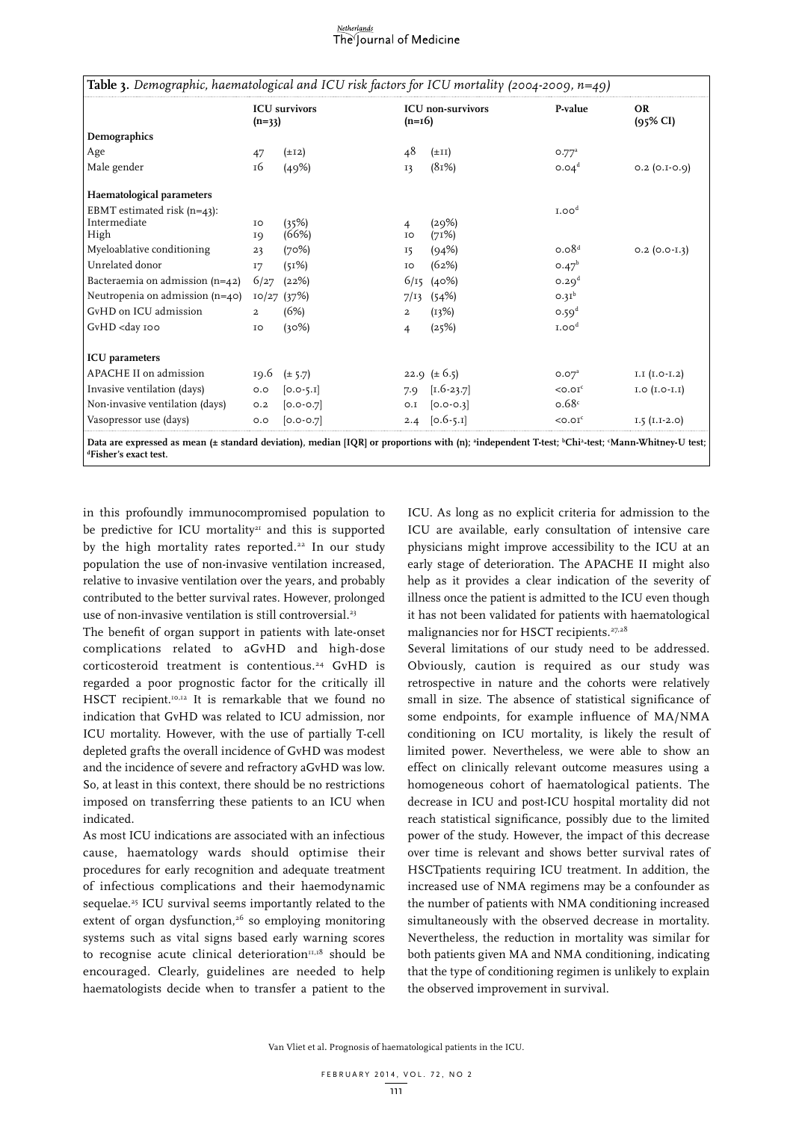#### <u>Netherlands</u> The Journal of Medicine

| Table 3. Demographic, haematological and ICU risk factors for ICU mortality (2004-2009, $n=49$ )                                                                                                                                      |                |                      |                |                           |                   |                                  |
|---------------------------------------------------------------------------------------------------------------------------------------------------------------------------------------------------------------------------------------|----------------|----------------------|----------------|---------------------------|-------------------|----------------------------------|
|                                                                                                                                                                                                                                       | $(n=33)$       | <b>ICU</b> survivors | $(n=16)$       | <b>ICU</b> non-survivors  | P-value           | <b>OR</b><br>$(95\% \text{ CI})$ |
| Demographics                                                                                                                                                                                                                          |                |                      |                |                           |                   |                                  |
| Age                                                                                                                                                                                                                                   | 47             | $(\pm 12)$           | 48             | $(\pm II)$                | 0.77 <sup>a</sup> |                                  |
| Male gender                                                                                                                                                                                                                           | 16             | (49%)                | 13             | (81%)                     | 0.04 <sup>d</sup> | $0.2$ (0.1-0.9)                  |
| Haematological parameters                                                                                                                                                                                                             |                |                      |                |                           |                   |                                  |
| EBMT estimated risk $(n=43)$ :                                                                                                                                                                                                        |                |                      |                |                           | I.00 <sup>d</sup> |                                  |
| Intermediate                                                                                                                                                                                                                          | IO             | (35%)                | 4              | (29%)                     |                   |                                  |
| High                                                                                                                                                                                                                                  | IQ             | (66%)                | IO             | (71%)                     |                   |                                  |
| Myeloablative conditioning                                                                                                                                                                                                            | 23             | (70%)                | 15             | (94%)                     | 0.08 <sup>d</sup> | $0.2$ (0.0-1.3)                  |
| Unrelated donor                                                                                                                                                                                                                       | I7             | (51%)                | IO             | (62%)                     | $0.47^{b}$        |                                  |
| Bacteraemia on admission (n=42)                                                                                                                                                                                                       | 6/27           | (22%)                |                | $6/15$ (40%)              | 0.29 <sup>d</sup> |                                  |
| Neutropenia on admission (n=40)                                                                                                                                                                                                       |                | $10/27$ (37%)        | 7/13           | (54%)                     | 0.31 <sup>b</sup> |                                  |
| GvHD on ICU admission                                                                                                                                                                                                                 | $\overline{a}$ | (6%)                 | $\overline{a}$ | (13%)                     | 0.59 <sup>d</sup> |                                  |
| GvHD <day 100<="" td=""><td>ΙO</td><td>(30%)</td><td>4</td><td>(25%)</td><td>I.00<sup>d</sup></td><td></td></day>                                                                                                                     | ΙO             | (30%)                | 4              | (25%)                     | I.00 <sup>d</sup> |                                  |
| <b>ICU</b> parameters                                                                                                                                                                                                                 |                |                      |                |                           |                   |                                  |
| APACHE II on admission                                                                                                                                                                                                                | 19.6           | $(\pm 5.7)$          |                | 22.9 $(\pm 6.5)$          | 0.07 <sup>a</sup> | $I.I (I.O-I.2)$                  |
| Invasive ventilation (days)                                                                                                                                                                                                           | O.O            | $[0.0 - 5.1]$        | 7.9            | $\left[1.6 - 23.7\right]$ | $<$ 0.0 $Ic$      | $I.O (I.O-I.I)$                  |
| Non-invasive ventilation (days)                                                                                                                                                                                                       | O.2            | $[0.0 - 0.7]$        | O.I            | $[0.0 - 0.3]$             | 0.68c             |                                  |
| Vasopressor use (days)                                                                                                                                                                                                                | O.O            | $[0.0 - 0.7]$        |                | 2.4 $[0.6 - 5.1]$         | $<$ 0.0 $Ic$      | $I.5 (I.I-2.0)$                  |
| Data are expressed as mean (± standard deviation), median [IQR] or proportions with (n); <sup>a</sup> independent T-test; <sup>b</sup> Chi <sup>2</sup> -test; <sup>c</sup> Mann-Whitney-U test;<br><sup>d</sup> Fisher's exact test. |                |                      |                |                           |                   |                                  |

in this profoundly immunocompromised population to be predictive for ICU mortality<sup>21</sup> and this is supported by the high mortality rates reported.<sup>22</sup> In our study population the use of non-invasive ventilation increased, relative to invasive ventilation over the years, and probably contributed to the better survival rates. However, prolonged use of non-invasive ventilation is still controversial.<sup>23</sup>

The benefit of organ support in patients with late-onset complications related to aGvHD and high-dose corticosteroid treatment is contentious.<sup>24</sup> GvHD is regarded a poor prognostic factor for the critically ill HSCT recipient.<sup>10,12</sup> It is remarkable that we found no indication that GvHD was related to ICU admission, nor ICU mortality. However, with the use of partially T-cell depleted grafts the overall incidence of GvHD was modest and the incidence of severe and refractory aGvHD was low. So, at least in this context, there should be no restrictions imposed on transferring these patients to an ICU when indicated.

As most ICU indications are associated with an infectious cause, haematology wards should optimise their procedures for early recognition and adequate treatment of infectious complications and their haemodynamic sequelae.<sup>25</sup> ICU survival seems importantly related to the extent of organ dysfunction,<sup>26</sup> so employing monitoring systems such as vital signs based early warning scores to recognise acute clinical deterioration $n<sub>1,18</sub>$  should be encouraged. Clearly, guidelines are needed to help haematologists decide when to transfer a patient to the

ICU. As long as no explicit criteria for admission to the ICU are available, early consultation of intensive care physicians might improve accessibility to the ICU at an early stage of deterioration. The APACHE II might also help as it provides a clear indication of the severity of illness once the patient is admitted to the ICU even though it has not been validated for patients with haematological malignancies nor for HSCT recipients.<sup>27,28</sup>

Several limitations of our study need to be addressed. Obviously, caution is required as our study was retrospective in nature and the cohorts were relatively small in size. The absence of statistical significance of some endpoints, for example influence of MA/NMA conditioning on ICU mortality, is likely the result of limited power. Nevertheless, we were able to show an effect on clinically relevant outcome measures using a homogeneous cohort of haematological patients. The decrease in ICU and post-ICU hospital mortality did not reach statistical significance, possibly due to the limited power of the study. However, the impact of this decrease over time is relevant and shows better survival rates of HSCTpatients requiring ICU treatment. In addition, the increased use of NMA regimens may be a confounder as the number of patients with NMA conditioning increased simultaneously with the observed decrease in mortality. Nevertheless, the reduction in mortality was similar for both patients given MA and NMA conditioning, indicating that the type of conditioning regimen is unlikely to explain the observed improvement in survival.

Van Vliet et al**.** Prognosis of haematological patients in the ICU.